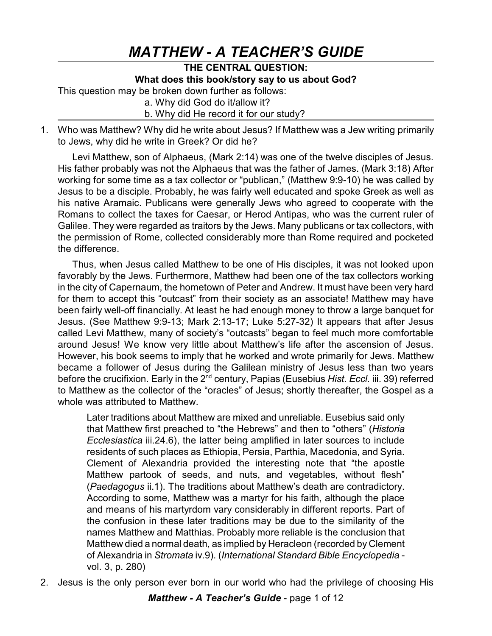# *MATTHEW - A TEACHER'S GUIDE*

## **THE CENTRAL QUESTION: What does this book/story say to us about God?**

This question may be broken down further as follows:

a. Why did God do it/allow it?

## b. Why did He record it for our study?

1. Who was Matthew? Why did he write about Jesus? If Matthew was a Jew writing primarily to Jews, why did he write in Greek? Or did he?

Levi Matthew, son of Alphaeus, (Mark 2:14) was one of the twelve disciples of Jesus. His father probably was not the Alphaeus that was the father of James. (Mark 3:18) After working for some time as a tax collector or "publican," (Matthew 9:9-10) he was called by Jesus to be a disciple. Probably, he was fairly well educated and spoke Greek as well as his native Aramaic. Publicans were generally Jews who agreed to cooperate with the Romans to collect the taxes for Caesar, or Herod Antipas, who was the current ruler of Galilee. They were regarded as traitors by the Jews. Many publicans or tax collectors, with the permission of Rome, collected considerably more than Rome required and pocketed the difference.

Thus, when Jesus called Matthew to be one of His disciples, it was not looked upon favorably by the Jews. Furthermore, Matthew had been one of the tax collectors working in the city of Capernaum, the hometown of Peter and Andrew. It must have been very hard for them to accept this "outcast" from their society as an associate! Matthew may have been fairly well-off financially. At least he had enough money to throw a large banquet for Jesus. (See Matthew 9:9-13; Mark 2:13-17; Luke 5:27-32) It appears that after Jesus called Levi Matthew, many of society's "outcasts" began to feel much more comfortable around Jesus! We know very little about Matthew's life after the ascension of Jesus. However, his book seems to imply that he worked and wrote primarily for Jews. Matthew became a follower of Jesus during the Galilean ministry of Jesus less than two years before the crucifixion. Early in the 2<sup>nd</sup> century, Papias (Eusebius *Hist. Eccl.* iii. 39) referred to Matthew as the collector of the "oracles" of Jesus; shortly thereafter, the Gospel as a whole was attributed to Matthew.

Later traditions about Matthew are mixed and unreliable. Eusebius said only that Matthew first preached to "the Hebrews" and then to "others" (*Historia Ecclesiastica* iii.24.6), the latter being amplified in later sources to include residents of such places as Ethiopia, Persia, Parthia, Macedonia, and Syria. Clement of Alexandria provided the interesting note that "the apostle Matthew partook of seeds, and nuts, and vegetables, without flesh" (*Paedagogus* ii.1). The traditions about Matthew's death are contradictory. According to some, Matthew was a martyr for his faith, although the place and means of his martyrdom vary considerably in different reports. Part of the confusion in these later traditions may be due to the similarity of the names Matthew and Matthias. Probably more reliable is the conclusion that Matthew died a normal death, as implied by Heracleon (recorded by Clement of Alexandria in *Stromata* iv.9). (*International Standard Bible Encyclopedia* vol. 3, p. 280)

2. Jesus is the only person ever born in our world who had the privilege of choosing His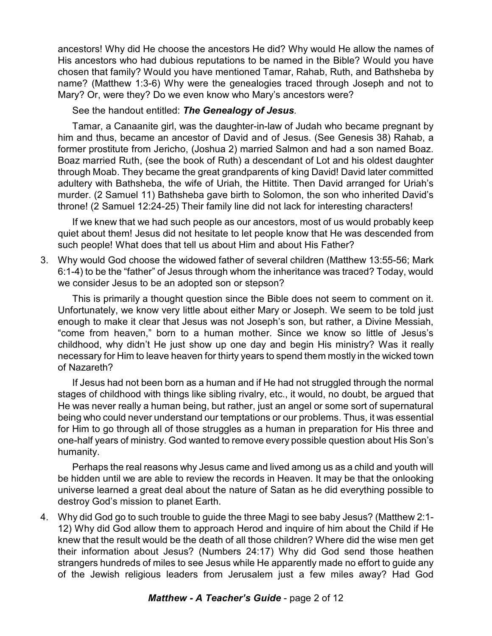ancestors! Why did He choose the ancestors He did? Why would He allow the names of His ancestors who had dubious reputations to be named in the Bible? Would you have chosen that family? Would you have mentioned Tamar, Rahab, Ruth, and Bathsheba by name? (Matthew 1:3-6) Why were the genealogies traced through Joseph and not to Mary? Or, were they? Do we even know who Mary's ancestors were?

## See the handout entitled: *The Genealogy of Jesus.*

Tamar, a Canaanite girl, was the daughter-in-law of Judah who became pregnant by him and thus, became an ancestor of David and of Jesus. (See Genesis 38) Rahab, a former prostitute from Jericho, (Joshua 2) married Salmon and had a son named Boaz. Boaz married Ruth, (see the book of Ruth) a descendant of Lot and his oldest daughter through Moab. They became the great grandparents of king David! David later committed adultery with Bathsheba, the wife of Uriah, the Hittite. Then David arranged for Uriah's murder. (2 Samuel 11) Bathsheba gave birth to Solomon, the son who inherited David's throne! (2 Samuel 12:24-25) Their family line did not lack for interesting characters!

If we knew that we had such people as our ancestors, most of us would probably keep quiet about them! Jesus did not hesitate to let people know that He was descended from such people! What does that tell us about Him and about His Father?

3. Why would God choose the widowed father of several children (Matthew 13:55-56; Mark 6:1-4) to be the "father" of Jesus through whom the inheritance was traced? Today, would we consider Jesus to be an adopted son or stepson?

This is primarily a thought question since the Bible does not seem to comment on it. Unfortunately, we know very little about either Mary or Joseph. We seem to be told just enough to make it clear that Jesus was not Joseph's son, but rather, a Divine Messiah, "come from heaven," born to a human mother. Since we know so little of Jesus's childhood, why didn't He just show up one day and begin His ministry? Was it really necessary for Him to leave heaven for thirty years to spend them mostly in the wicked town of Nazareth?

If Jesus had not been born as a human and if He had not struggled through the normal stages of childhood with things like sibling rivalry, etc., it would, no doubt, be argued that He was never really a human being, but rather, just an angel or some sort of supernatural being who could never understand our temptations or our problems. Thus, it was essential for Him to go through all of those struggles as a human in preparation for His three and one-half years of ministry. God wanted to remove every possible question about His Son's humanity.

Perhaps the real reasons why Jesus came and lived among us as a child and youth will be hidden until we are able to review the records in Heaven. It may be that the onlooking universe learned a great deal about the nature of Satan as he did everything possible to destroy God's mission to planet Earth.

4. Why did God go to such trouble to guide the three Magi to see baby Jesus? (Matthew 2:1- 12) Why did God allow them to approach Herod and inquire of him about the Child if He knew that the result would be the death of all those children? Where did the wise men get their information about Jesus? (Numbers 24:17) Why did God send those heathen strangers hundreds of miles to see Jesus while He apparently made no effort to guide any of the Jewish religious leaders from Jerusalem just a few miles away? Had God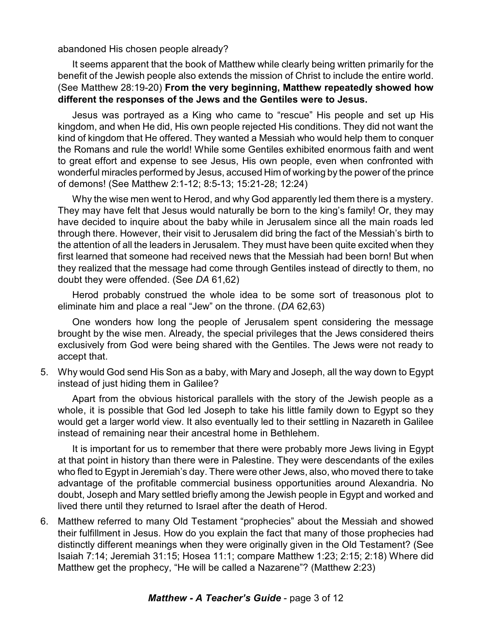abandoned His chosen people already?

It seems apparent that the book of Matthew while clearly being written primarily for the benefit of the Jewish people also extends the mission of Christ to include the entire world. (See Matthew 28:19-20) **From the very beginning, Matthew repeatedly showed how different the responses of the Jews and the Gentiles were to Jesus.**

Jesus was portrayed as a King who came to "rescue" His people and set up His kingdom, and when He did, His own people rejected His conditions. They did not want the kind of kingdom that He offered. They wanted a Messiah who would help them to conquer the Romans and rule the world! While some Gentiles exhibited enormous faith and went to great effort and expense to see Jesus, His own people, even when confronted with wonderful miracles performed by Jesus, accused Him of working by the power of the prince of demons! (See Matthew 2:1-12; 8:5-13; 15:21-28; 12:24)

Why the wise men went to Herod, and why God apparently led them there is a mystery. They may have felt that Jesus would naturally be born to the king's family! Or, they may have decided to inquire about the baby while in Jerusalem since all the main roads led through there. However, their visit to Jerusalem did bring the fact of the Messiah's birth to the attention of all the leaders in Jerusalem. They must have been quite excited when they first learned that someone had received news that the Messiah had been born! But when they realized that the message had come through Gentiles instead of directly to them, no doubt they were offended. (See *DA* 61,62)

Herod probably construed the whole idea to be some sort of treasonous plot to eliminate him and place a real "Jew" on the throne. (*DA* 62,63)

One wonders how long the people of Jerusalem spent considering the message brought by the wise men. Already, the special privileges that the Jews considered theirs exclusively from God were being shared with the Gentiles. The Jews were not ready to accept that.

5. Why would God send His Son as a baby, with Mary and Joseph, all the way down to Egypt instead of just hiding them in Galilee?

Apart from the obvious historical parallels with the story of the Jewish people as a whole, it is possible that God led Joseph to take his little family down to Egypt so they would get a larger world view. It also eventually led to their settling in Nazareth in Galilee instead of remaining near their ancestral home in Bethlehem.

It is important for us to remember that there were probably more Jews living in Egypt at that point in history than there were in Palestine. They were descendants of the exiles who fled to Egypt in Jeremiah's day. There were other Jews, also, who moved there to take advantage of the profitable commercial business opportunities around Alexandria. No doubt, Joseph and Mary settled briefly among the Jewish people in Egypt and worked and lived there until they returned to Israel after the death of Herod.

6. Matthew referred to many Old Testament "prophecies" about the Messiah and showed their fulfillment in Jesus. How do you explain the fact that many of those prophecies had distinctly different meanings when they were originally given in the Old Testament? (See Isaiah 7:14; Jeremiah 31:15; Hosea 11:1; compare Matthew 1:23; 2:15; 2:18) Where did Matthew get the prophecy, "He will be called a Nazarene"? (Matthew 2:23)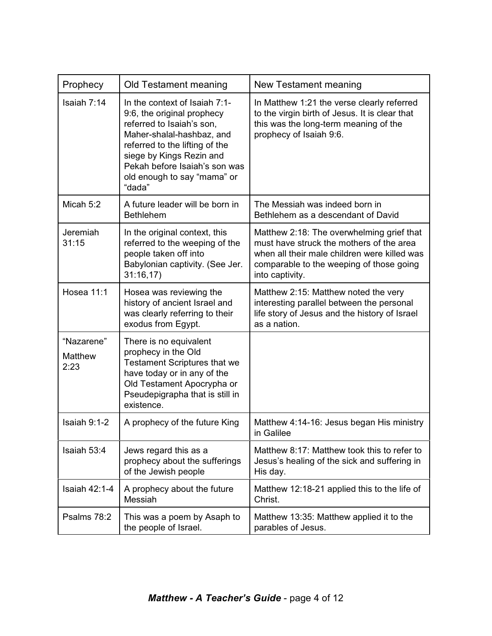| Prophecy                      | Old Testament meaning                                                                                                                                                                                                                                         | New Testament meaning                                                                                                                                                                                |
|-------------------------------|---------------------------------------------------------------------------------------------------------------------------------------------------------------------------------------------------------------------------------------------------------------|------------------------------------------------------------------------------------------------------------------------------------------------------------------------------------------------------|
| Isaiah 7:14                   | In the context of Isaiah 7:1-<br>9:6, the original prophecy<br>referred to Isaiah's son,<br>Maher-shalal-hashbaz, and<br>referred to the lifting of the<br>siege by Kings Rezin and<br>Pekah before Isaiah's son was<br>old enough to say "mama" or<br>"dada" | In Matthew 1:21 the verse clearly referred<br>to the virgin birth of Jesus. It is clear that<br>this was the long-term meaning of the<br>prophecy of Isaiah 9:6.                                     |
| Micah 5:2                     | A future leader will be born in<br><b>Bethlehem</b>                                                                                                                                                                                                           | The Messiah was indeed born in<br>Bethlehem as a descendant of David                                                                                                                                 |
| Jeremiah<br>31:15             | In the original context, this<br>referred to the weeping of the<br>people taken off into<br>Babylonian captivity. (See Jer.<br>31:16,17                                                                                                                       | Matthew 2:18: The overwhelming grief that<br>must have struck the mothers of the area<br>when all their male children were killed was<br>comparable to the weeping of those going<br>into captivity. |
| Hosea 11:1                    | Hosea was reviewing the<br>history of ancient Israel and<br>was clearly referring to their<br>exodus from Egypt.                                                                                                                                              | Matthew 2:15: Matthew noted the very<br>interesting parallel between the personal<br>life story of Jesus and the history of Israel<br>as a nation.                                                   |
| "Nazarene"<br>Matthew<br>2:23 | There is no equivalent<br>prophecy in the Old<br><b>Testament Scriptures that we</b><br>have today or in any of the<br>Old Testament Apocrypha or<br>Pseudepigrapha that is still in<br>existence.                                                            |                                                                                                                                                                                                      |
| Isaiah 9:1-2                  | A prophecy of the future King                                                                                                                                                                                                                                 | Matthew 4:14-16: Jesus began His ministry<br>in Galilee                                                                                                                                              |
| Isaiah 53:4                   | Jews regard this as a<br>prophecy about the sufferings<br>of the Jewish people                                                                                                                                                                                | Matthew 8:17: Matthew took this to refer to<br>Jesus's healing of the sick and suffering in<br>His day.                                                                                              |
| <b>Isaiah 42:1-4</b>          | A prophecy about the future<br>Messiah                                                                                                                                                                                                                        | Matthew 12:18-21 applied this to the life of<br>Christ.                                                                                                                                              |
| Psalms 78:2                   | This was a poem by Asaph to<br>the people of Israel.                                                                                                                                                                                                          | Matthew 13:35: Matthew applied it to the<br>parables of Jesus.                                                                                                                                       |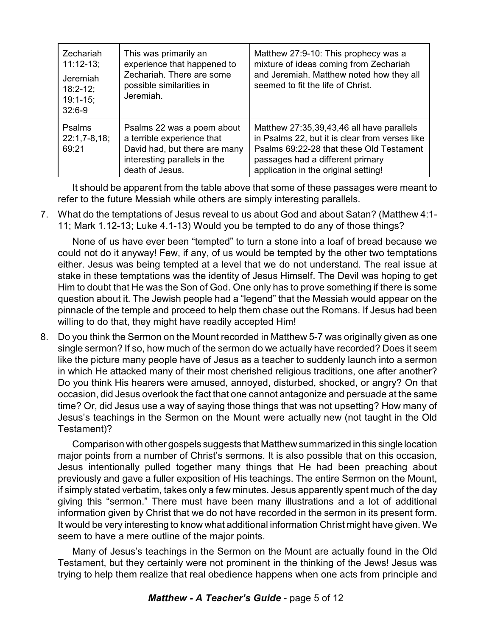| Zechariah<br>$11:12-13;$<br>Jeremiah<br>$18:2 - 12$ ;<br>$19:1 - 15$ ;<br>$32:6-9$ | This was primarily an<br>experience that happened to<br>Zechariah. There are some<br>possible similarities in<br>Jeremiah.                   | Matthew 27:9-10: This prophecy was a<br>mixture of ideas coming from Zechariah<br>and Jeremiah. Matthew noted how they all<br>seemed to fit the life of Christ.                                                     |
|------------------------------------------------------------------------------------|----------------------------------------------------------------------------------------------------------------------------------------------|---------------------------------------------------------------------------------------------------------------------------------------------------------------------------------------------------------------------|
| <b>Psalms</b><br>$22:1,7-8,18;$<br>69:21                                           | Psalms 22 was a poem about<br>a terrible experience that<br>David had, but there are many<br>interesting parallels in the<br>death of Jesus. | Matthew 27:35,39,43,46 all have parallels<br>in Psalms 22, but it is clear from verses like<br>Psalms 69:22-28 that these Old Testament<br>passages had a different primary<br>application in the original setting! |

It should be apparent from the table above that some of these passages were meant to refer to the future Messiah while others are simply interesting parallels.

7. What do the temptations of Jesus reveal to us about God and about Satan? (Matthew 4:1- 11; Mark 1.12-13; Luke 4.1-13) Would you be tempted to do any of those things?

None of us have ever been "tempted" to turn a stone into a loaf of bread because we could not do it anyway! Few, if any, of us would be tempted by the other two temptations either. Jesus was being tempted at a level that we do not understand. The real issue at stake in these temptations was the identity of Jesus Himself. The Devil was hoping to get Him to doubt that He was the Son of God. One only has to prove something if there is some question about it. The Jewish people had a "legend" that the Messiah would appear on the pinnacle of the temple and proceed to help them chase out the Romans. If Jesus had been willing to do that, they might have readily accepted Him!

8. Do you think the Sermon on the Mount recorded in Matthew 5-7 was originally given as one single sermon? If so, how much of the sermon do we actually have recorded? Does it seem like the picture many people have of Jesus as a teacher to suddenly launch into a sermon in which He attacked many of their most cherished religious traditions, one after another? Do you think His hearers were amused, annoyed, disturbed, shocked, or angry? On that occasion, did Jesus overlook the fact that one cannot antagonize and persuade at the same time? Or, did Jesus use a way of saying those things that was not upsetting? How many of Jesus's teachings in the Sermon on the Mount were actually new (not taught in the Old Testament)?

Comparison with other gospels suggests that Matthew summarized in this single location major points from a number of Christ's sermons. It is also possible that on this occasion, Jesus intentionally pulled together many things that He had been preaching about previously and gave a fuller exposition of His teachings. The entire Sermon on the Mount, if simply stated verbatim, takes only a few minutes. Jesus apparently spent much of the day giving this "sermon." There must have been many illustrations and a lot of additional information given by Christ that we do not have recorded in the sermon in its present form. It would be very interesting to know what additional information Christ might have given. We seem to have a mere outline of the major points.

Many of Jesus's teachings in the Sermon on the Mount are actually found in the Old Testament, but they certainly were not prominent in the thinking of the Jews! Jesus was trying to help them realize that real obedience happens when one acts from principle and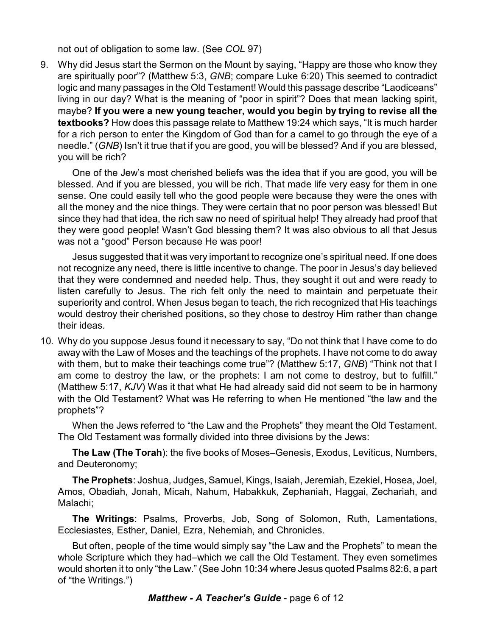not out of obligation to some law. (See *COL* 97)

9. Why did Jesus start the Sermon on the Mount by saying, "Happy are those who know they are spiritually poor"? (Matthew 5:3, *GNB*; compare Luke 6:20) This seemed to contradict logic and many passages in the Old Testament! Would this passage describe "Laodiceans" living in our day? What is the meaning of "poor in spirit"? Does that mean lacking spirit, maybe? **If you were a new young teacher, would you begin by trying to revise all the textbooks?** How does this passage relate to Matthew 19:24 which says, "It is much harder for a rich person to enter the Kingdom of God than for a camel to go through the eye of a needle." (*GNB*) Isn't it true that if you are good, you will be blessed? And if you are blessed, you will be rich?

One of the Jew's most cherished beliefs was the idea that if you are good, you will be blessed. And if you are blessed, you will be rich. That made life very easy for them in one sense. One could easily tell who the good people were because they were the ones with all the money and the nice things. They were certain that no poor person was blessed! But since they had that idea, the rich saw no need of spiritual help! They already had proof that they were good people! Wasn't God blessing them? It was also obvious to all that Jesus was not a "good" Person because He was poor!

Jesus suggested that it was very important to recognize one's spiritual need. If one does not recognize any need, there is little incentive to change. The poor in Jesus's day believed that they were condemned and needed help. Thus, they sought it out and were ready to listen carefully to Jesus. The rich felt only the need to maintain and perpetuate their superiority and control. When Jesus began to teach, the rich recognized that His teachings would destroy their cherished positions, so they chose to destroy Him rather than change their ideas.

10. Why do you suppose Jesus found it necessary to say, "Do not think that I have come to do away with the Law of Moses and the teachings of the prophets. I have not come to do away with them, but to make their teachings come true"? (Matthew 5:17, *GNB*) "Think not that I am come to destroy the law, or the prophets: I am not come to destroy, but to fulfill." (Matthew 5:17, *KJV*) Was it that what He had already said did not seem to be in harmony with the Old Testament? What was He referring to when He mentioned "the law and the prophets"?

When the Jews referred to "the Law and the Prophets" they meant the Old Testament. The Old Testament was formally divided into three divisions by the Jews:

**The Law (The Torah**): the five books of Moses–Genesis, Exodus, Leviticus, Numbers, and Deuteronomy;

**The Prophets**: Joshua, Judges, Samuel, Kings, Isaiah, Jeremiah, Ezekiel, Hosea, Joel, Amos, Obadiah, Jonah, Micah, Nahum, Habakkuk, Zephaniah, Haggai, Zechariah, and Malachi;

**The Writings**: Psalms, Proverbs, Job, Song of Solomon, Ruth, Lamentations, Ecclesiastes, Esther, Daniel, Ezra, Nehemiah, and Chronicles.

But often, people of the time would simply say "the Law and the Prophets" to mean the whole Scripture which they had–which we call the Old Testament. They even sometimes would shorten it to only "the Law." (See John 10:34 where Jesus quoted Psalms 82:6, a part of "the Writings.")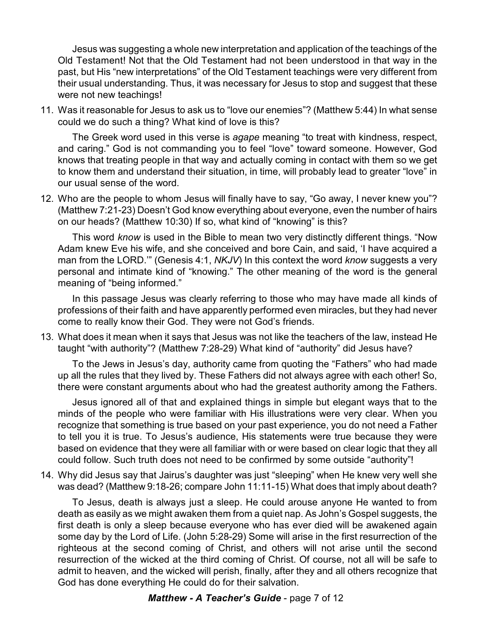Jesus was suggesting a whole new interpretation and application of the teachings of the Old Testament! Not that the Old Testament had not been understood in that way in the past, but His "new interpretations" of the Old Testament teachings were very different from their usual understanding. Thus, it was necessary for Jesus to stop and suggest that these were not new teachings!

11. Was it reasonable for Jesus to ask us to "love our enemies"? (Matthew 5:44) In what sense could we do such a thing? What kind of love is this?

The Greek word used in this verse is *agape* meaning "to treat with kindness, respect, and caring." God is not commanding you to feel "love" toward someone. However, God knows that treating people in that way and actually coming in contact with them so we get to know them and understand their situation, in time, will probably lead to greater "love" in our usual sense of the word.

12. Who are the people to whom Jesus will finally have to say, "Go away, I never knew you"? (Matthew 7:21-23) Doesn't God know everything about everyone, even the number of hairs on our heads? (Matthew 10:30) If so, what kind of "knowing" is this?

This word *know* is used in the Bible to mean two very distinctly different things. "Now Adam knew Eve his wife, and she conceived and bore Cain, and said, 'I have acquired a man from the LORD.'" (Genesis 4:1, *NKJV*) In this context the word *know* suggests a very personal and intimate kind of "knowing." The other meaning of the word is the general meaning of "being informed."

In this passage Jesus was clearly referring to those who may have made all kinds of professions of their faith and have apparently performed even miracles, but they had never come to really know their God. They were not God's friends.

13. What does it mean when it says that Jesus was not like the teachers of the law, instead He taught "with authority"? (Matthew 7:28-29) What kind of "authority" did Jesus have?

To the Jews in Jesus's day, authority came from quoting the "Fathers" who had made up all the rules that they lived by. These Fathers did not always agree with each other! So, there were constant arguments about who had the greatest authority among the Fathers.

Jesus ignored all of that and explained things in simple but elegant ways that to the minds of the people who were familiar with His illustrations were very clear. When you recognize that something is true based on your past experience, you do not need a Father to tell you it is true. To Jesus's audience, His statements were true because they were based on evidence that they were all familiar with or were based on clear logic that they all could follow. Such truth does not need to be confirmed by some outside "authority"!

14. Why did Jesus say that Jairus's daughter was just "sleeping" when He knew very well she was dead? (Matthew 9:18-26; compare John 11:11-15) What does that imply about death?

To Jesus, death is always just a sleep. He could arouse anyone He wanted to from death as easily as we might awaken them from a quiet nap. As John's Gospel suggests, the first death is only a sleep because everyone who has ever died will be awakened again some day by the Lord of Life. (John 5:28-29) Some will arise in the first resurrection of the righteous at the second coming of Christ, and others will not arise until the second resurrection of the wicked at the third coming of Christ. Of course, not all will be safe to admit to heaven, and the wicked will perish, finally, after they and all others recognize that God has done everything He could do for their salvation.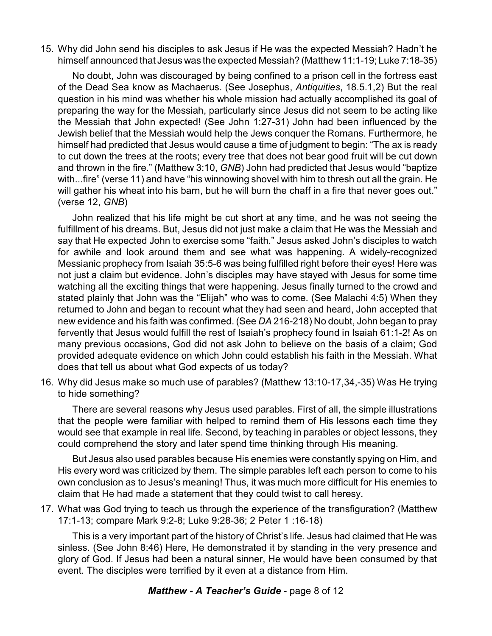15. Why did John send his disciples to ask Jesus if He was the expected Messiah? Hadn't he himself announced that Jesus was the expected Messiah? (Matthew11:1-19; Luke 7:18-35)

No doubt, John was discouraged by being confined to a prison cell in the fortress east of the Dead Sea know as Machaerus. (See Josephus, *Antiquities*, 18.5.1,2) But the real question in his mind was whether his whole mission had actually accomplished its goal of preparing the way for the Messiah, particularly since Jesus did not seem to be acting like the Messiah that John expected! (See John 1:27-31) John had been influenced by the Jewish belief that the Messiah would help the Jews conquer the Romans. Furthermore, he himself had predicted that Jesus would cause a time of judgment to begin: "The ax is ready to cut down the trees at the roots; every tree that does not bear good fruit will be cut down and thrown in the fire." (Matthew 3:10, *GNB*) John had predicted that Jesus would "baptize with...fire" (verse 11) and have "his winnowing shovel with him to thresh out all the grain. He will gather his wheat into his barn, but he will burn the chaff in a fire that never goes out." (verse 12, *GNB*)

John realized that his life might be cut short at any time, and he was not seeing the fulfillment of his dreams. But, Jesus did not just make a claim that He was the Messiah and say that He expected John to exercise some "faith." Jesus asked John's disciples to watch for awhile and look around them and see what was happening. A widely-recognized Messianic prophecy from Isaiah 35:5-6 was being fulfilled right before their eyes! Here was not just a claim but evidence. John's disciples may have stayed with Jesus for some time watching all the exciting things that were happening. Jesus finally turned to the crowd and stated plainly that John was the "Elijah" who was to come. (See Malachi 4:5) When they returned to John and began to recount what they had seen and heard, John accepted that new evidence and his faith was confirmed. (See *DA* 216-218) No doubt, John began to pray fervently that Jesus would fulfill the rest of Isaiah's prophecy found in Isaiah 61:1-2! As on many previous occasions, God did not ask John to believe on the basis of a claim; God provided adequate evidence on which John could establish his faith in the Messiah. What does that tell us about what God expects of us today?

16. Why did Jesus make so much use of parables? (Matthew 13:10-17,34,-35) Was He trying to hide something?

There are several reasons why Jesus used parables. First of all, the simple illustrations that the people were familiar with helped to remind them of His lessons each time they would see that example in real life. Second, by teaching in parables or object lessons, they could comprehend the story and later spend time thinking through His meaning.

But Jesus also used parables because His enemies were constantly spying on Him, and His every word was criticized by them. The simple parables left each person to come to his own conclusion as to Jesus's meaning! Thus, it was much more difficult for His enemies to claim that He had made a statement that they could twist to call heresy.

17. What was God trying to teach us through the experience of the transfiguration? (Matthew 17:1-13; compare Mark 9:2-8; Luke 9:28-36; 2 Peter 1 :16-18)

This is a very important part of the history of Christ's life. Jesus had claimed that He was sinless. (See John 8:46) Here, He demonstrated it by standing in the very presence and glory of God. If Jesus had been a natural sinner, He would have been consumed by that event. The disciples were terrified by it even at a distance from Him.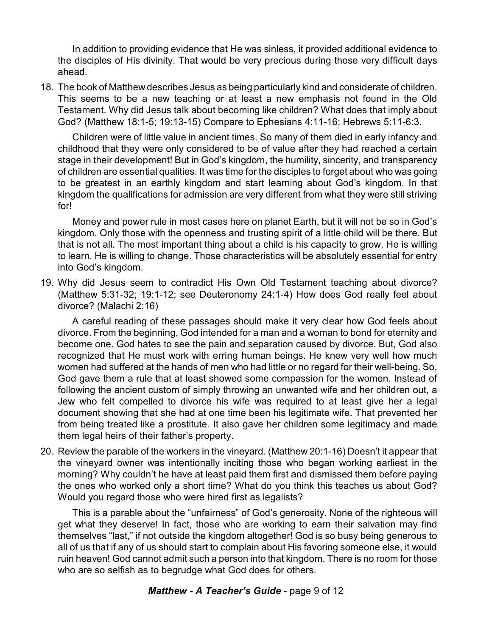In addition to providing evidence that He was sinless, it provided additional evidence to the disciples of His divinity. That would be very precious during those very difficult days ahead.

18. The book of Matthew describes Jesus as being particularly kind and considerate of children. This seems to be a new teaching or at least a new emphasis not found in the Old Testament. Why did Jesus talk about becoming like children? What does that imply about God? (Matthew 18:1-5; 19:13-15) Compare to Ephesians 4:11-16; Hebrews 5:11-6:3.

Children were of little value in ancient times. So many of them died in early infancy and childhood that they were only considered to be of value after they had reached a certain stage in their development! But in God's kingdom, the humility, sincerity, and transparency of children are essential qualities. It was time for the disciples to forget about who was going to be greatest in an earthly kingdom and start learning about God's kingdom. In that kingdom the qualifications for admission are very different from what they were still striving for!

Money and power rule in most cases here on planet Earth, but it will not be so in God's kingdom. Only those with the openness and trusting spirit of a little child will be there. But that is not all. The most important thing about a child is his capacity to grow. He is willing to learn. He is willing to change. Those characteristics will be absolutely essential for entry into God's kingdom.

19. Why did Jesus seem to contradict His Own Old Testament teaching about divorce? (Matthew 5:31-32; 19:1-12; see Deuteronomy 24:1-4) How does God really feel about divorce? (Malachi 2:16)

A careful reading of these passages should make it very clear how God feels about divorce. From the beginning, God intended for a man and a woman to bond for eternity and become one. God hates to see the pain and separation caused by divorce. But, God also recognized that He must work with erring human beings. He knew very well how much women had suffered at the hands of men who had little or no regard for their well-being. So, God gave them a rule that at least showed some compassion for the women. Instead of following the ancient custom of simply throwing an unwanted wife and her children out, a Jew who felt compelled to divorce his wife was required to at least give her a legal document showing that she had at one time been his legitimate wife. That prevented her from being treated like a prostitute. It also gave her children some legitimacy and made them legal heirs of their father's property.

20. Review the parable of the workers in the vineyard. (Matthew 20:1-16) Doesn't it appear that the vineyard owner was intentionally inciting those who began working earliest in the morning? Why couldn't he have at least paid them first and dismissed them before paying the ones who worked only a short time? What do you think this teaches us about God? Would you regard those who were hired first as legalists?

This is a parable about the "unfairness" of God's generosity. None of the righteous will get what they deserve! In fact, those who are working to earn their salvation may find themselves "last," if not outside the kingdom altogether! God is so busy being generous to all of us that if any of us should start to complain about His favoring someone else, it would ruin heaven! God cannot admit such a person into that kingdom. There is no room for those who are so selfish as to begrudge what God does for others.

## *Matthew - A Teacher's Guide* - page 9 of 12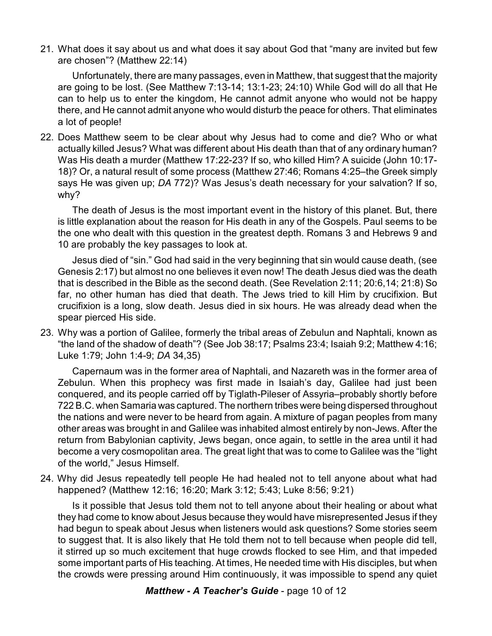21. What does it say about us and what does it say about God that "many are invited but few are chosen"? (Matthew 22:14)

Unfortunately, there are many passages, even in Matthew, that suggest that the majority are going to be lost. (See Matthew 7:13-14; 13:1-23; 24:10) While God will do all that He can to help us to enter the kingdom, He cannot admit anyone who would not be happy there, and He cannot admit anyone who would disturb the peace for others. That eliminates a lot of people!

22. Does Matthew seem to be clear about why Jesus had to come and die? Who or what actually killed Jesus? What was different about His death than that of any ordinary human? Was His death a murder (Matthew 17:22-23? If so, who killed Him? A suicide (John 10:17- 18)? Or, a natural result of some process (Matthew 27:46; Romans 4:25–the Greek simply says He was given up; *DA* 772)? Was Jesus's death necessary for your salvation? If so, why?

The death of Jesus is the most important event in the history of this planet. But, there is little explanation about the reason for His death in any of the Gospels. Paul seems to be the one who dealt with this question in the greatest depth. Romans 3 and Hebrews 9 and 10 are probably the key passages to look at.

Jesus died of "sin." God had said in the very beginning that sin would cause death, (see Genesis 2:17) but almost no one believes it even now! The death Jesus died was the death that is described in the Bible as the second death. (See Revelation 2:11; 20:6,14; 21:8) So far, no other human has died that death. The Jews tried to kill Him by crucifixion. But crucifixion is a long, slow death. Jesus died in six hours. He was already dead when the spear pierced His side.

23. Why was a portion of Galilee, formerly the tribal areas of Zebulun and Naphtali, known as "the land of the shadow of death"? (See Job 38:17; Psalms 23:4; Isaiah 9:2; Matthew 4:16; Luke 1:79; John 1:4-9; *DA* 34,35)

Capernaum was in the former area of Naphtali, and Nazareth was in the former area of Zebulun. When this prophecy was first made in Isaiah's day, Galilee had just been conquered, and its people carried off by Tiglath-Pileser of Assyria–probably shortly before 722 B.C. when Samaria was captured. The northern tribes were being dispersed throughout the nations and were never to be heard from again. A mixture of pagan peoples from many other areas was brought in and Galilee was inhabited almost entirely by non-Jews. After the return from Babylonian captivity, Jews began, once again, to settle in the area until it had become a very cosmopolitan area. The great light that was to come to Galilee was the "light of the world," Jesus Himself.

24. Why did Jesus repeatedly tell people He had healed not to tell anyone about what had happened? (Matthew 12:16; 16:20; Mark 3:12; 5:43; Luke 8:56; 9:21)

Is it possible that Jesus told them not to tell anyone about their healing or about what they had come to know about Jesus because they would have misrepresented Jesus if they had begun to speak about Jesus when listeners would ask questions? Some stories seem to suggest that. It is also likely that He told them not to tell because when people did tell, it stirred up so much excitement that huge crowds flocked to see Him, and that impeded some important parts of His teaching. At times, He needed time with His disciples, but when the crowds were pressing around Him continuously, it was impossible to spend any quiet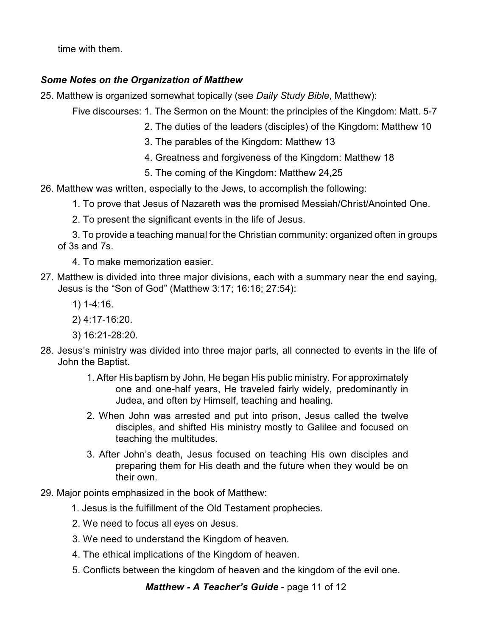time with them.

## *Some Notes on the Organization of Matthew*

25. Matthew is organized somewhat topically (see *Daily Study Bible*, Matthew):

Five discourses: 1. The Sermon on the Mount: the principles of the Kingdom: Matt. 5-7

- 2. The duties of the leaders (disciples) of the Kingdom: Matthew 10
- 3. The parables of the Kingdom: Matthew 13
- 4. Greatness and forgiveness of the Kingdom: Matthew 18
- 5. The coming of the Kingdom: Matthew 24,25
- 26. Matthew was written, especially to the Jews, to accomplish the following:
	- 1. To prove that Jesus of Nazareth was the promised Messiah/Christ/Anointed One.
	- 2. To present the significant events in the life of Jesus.
	- 3. To provide a teaching manual for the Christian community: organized often in groups of 3s and 7s.
		- 4. To make memorization easier.
- 27. Matthew is divided into three major divisions, each with a summary near the end saying, Jesus is the "Son of God" (Matthew 3:17; 16:16; 27:54):
	- 1) 1-4:16.
	- 2) 4:17-16:20.
	- 3) 16:21-28:20.
- 28. Jesus's ministry was divided into three major parts, all connected to events in the life of John the Baptist.
	- 1. After His baptism by John, He began His public ministry. For approximately one and one-half years, He traveled fairly widely, predominantly in Judea, and often by Himself, teaching and healing.
	- 2. When John was arrested and put into prison, Jesus called the twelve disciples, and shifted His ministry mostly to Galilee and focused on teaching the multitudes.
	- 3. After John's death, Jesus focused on teaching His own disciples and preparing them for His death and the future when they would be on their own.
- 29. Major points emphasized in the book of Matthew:
	- 1. Jesus is the fulfillment of the Old Testament prophecies.
	- 2. We need to focus all eyes on Jesus.
	- 3. We need to understand the Kingdom of heaven.
	- 4. The ethical implications of the Kingdom of heaven.
	- 5. Conflicts between the kingdom of heaven and the kingdom of the evil one.

*Matthew - A Teacher's Guide* - page 11 of 12